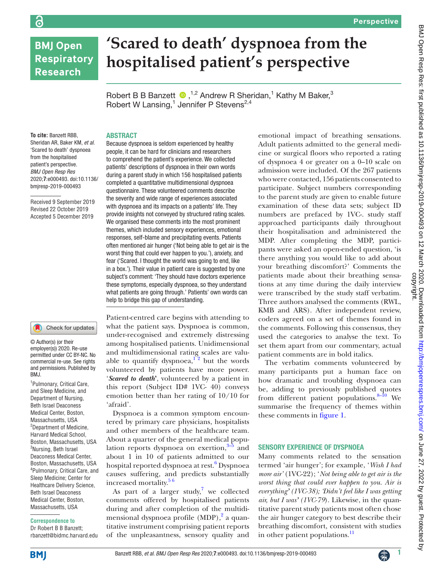# **BMJ Open Respiratory Research**

ခြ

# **'Scared to death' dyspnoea from the hospitalised patient's perspective**

RobertB B Banzett  $\bullet$ , <sup>1,2</sup> Andrew R Sheridan,<sup>1</sup> Kathy M Baker,<sup>3</sup> Robert W Lansing, $1$  Jennifer P Stevens<sup>2,4</sup>

### **ABSTRACT**

**To cite:** Banzett RBB, Sheridan AR, Baker KM, *et al*. 'Scared to death' dyspnoea from the hospitalised patient's perspective. *BMJ Open Resp Res* 2020;**7**:e000493. doi:10.1136/ bmjresp-2019-000493

Received 9 September 2019 Revised 22 October 2019 Accepted 5 December 2019

#### Check for updates

© Author(s) (or their employer(s)) 2020. Re-use permitted under CC BY-NC. No commercial re-use. See rights and permissions. Published by BMJ.

1 Pulmonary, Critical Care, and Sleep Medicine, and Department of Nursing, Beth Israel Deaconess Medical Center, Boston, Massachusetts, USA <sup>2</sup>Department of Medicine, Harvard Medical School, Boston, Massachusetts, USA 3 Nursing, Beth Israel Deaconess Medical Center, Boston, Massachusetts, USA 4 Pulmonary, Critical Care, and Sleep Medicine; Center for Healthcare Delivery Science, Beth Israel Deaconess Medical Center, Boston, Massachusetts, USA

#### **Correspondence to**

Dr Robert B B Banzett; rbanzett@bidmc.harvard.edu Because dyspnoea is seldom experienced by healthy people, it can be hard for clinicians and researchers to comprehend the patient's experience. We collected patients' descriptions of dyspnoea in their own words during a parent study in which 156 hospitalised patients completed a quantitative multidimensional dyspnoea questionnaire. These volunteered comments describe the severity and wide range of experiences associated with dyspnoea and its impacts on a patients' life. They provide insights not conveyed by structured rating scales. We organised these comments into the most prominent themes, which included sensory experiences, emotional responses, self-blame and precipitating events. Patients often mentioned air hunger ('Not being able to get air is the worst thing that could ever happen to you.'), anxiety, and fear ('Scared. I thought the world was going to end, like in a box.'). Their value in patient care is suggested by one subject's comment: 'They should have doctors experience these symptoms, especially dyspnoea, so they understand what patients are going through.' Patients' own words can help to bridge this gap of understanding.

Patient-centred care begins with attending to what the patient says. Dyspnoea is common, under-recognised and extremely distressing among hospitalised patients. Unidimensional and multidimensional rating scales are valuable to quantify dyspnoea,<sup>12</sup> but the words volunteered by patients have more power. '*Scared to death***'**, volunteered by a patient in this report (Subject ID# 1VC- 40) conveys emotion better than her rating of 10/10 for 'afraid'.

Dyspnoea is a common symptom encountered by primary care physicians, hospitalists and other members of the healthcare team. About a quarter of the general medical population reports dyspnoea on exertion, $3-5$  and about 1 in 10 of patients admitted to our hospital reported dyspnoea at rest.<sup>[6](#page-2-2)</sup> Dyspnoea causes suffering, and predicts substantially increased mortality.<sup>56</sup>

As part of a larger study,<sup>[7](#page-2-4)</sup> we collected comments offered by hospitalised patients during and after completion of the multidi-mensional dyspnoea profile (MDP),<sup>[2](#page-2-5)</sup> a quantitative instrument comprising patient reports of the unpleasantness, sensory quality and

emotional impact of breathing sensations. Adult patients admitted to the general medicine or surgical floors who reported a rating of dyspnoea 4 or greater on a 0–10 scale on admission were included. Of the 267 patients who were contacted, 156 patients consented to participate. Subject numbers corresponding to the parent study are given to enable future examination of these data sets; subject ID numbers are prefaced by 1VC-. study staff approached participants daily throughout their hospitalisation and administered the MDP. After completing the MDP, participants were asked an open-ended question, 'is there anything you would like to add about your breathing discomfort?' Comments the patients made about their breathing sensations at any time during the daily interview were transcribed by the study staff verbatim. Three authors analysed the comments (RWL, KMB and ARS). After independent review, coders agreed on a set of themes found in the comments. Following this consensus, they used the categories to analyse the text. To set them apart from our commentary, actual patient comments are in bold italics.

The verbatim comments volunteered by many participants put a human face on how dramatic and troubling dyspnoea can be, adding to previously published quotes from different patient populations. $8-10$  We summarise the frequency of themes within these comments in [figure](#page-1-0) 1.

# Sensory experience of dyspnoea

Many comments related to the sensation termed 'air hunger'; for example, '*Wish I had more air'* (1VC-22); '*Not being able to get air is the worst thing that could ever happen to you. Air is everything' (1VC-38); 'Didn't feel like I was getting air, but I was' (1VC-79*). Likewise, in the quantitative parent study patients most often chose the air hunger category to best describe their breathing discomfort, consistent with studies in other patient populations.<sup>[11](#page-2-7)</sup>

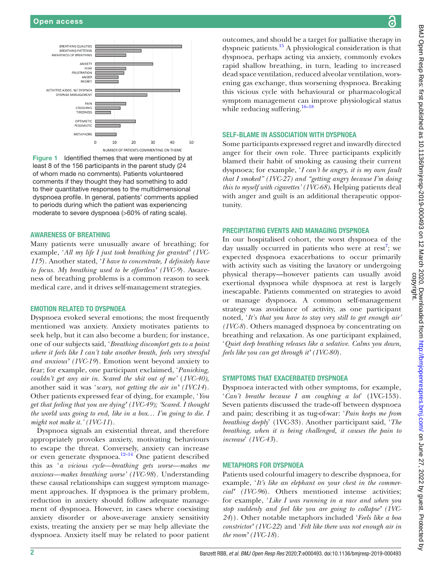

<span id="page-1-0"></span>Figure 1 Identified themes that were mentioned by at least 8 of the 156 participants in the parent study (24 of whom made no comments). Patients volunteered comments if they thought they had something to add to their quantitative responses to the multidimensional dyspnoea profile. In general, patients' comments applied to periods during which the patient was experiencing moderate to severe dyspnoea (>60% of rating scale).

#### Awareness of breathing

Many patients were unusually aware of breathing; for example, '*All my life I just took breathing for granted' (1VC-115*). Another stated, '*I have to concentrate, I definitely have to focus. My breathing used to be effortless' (1VC-9*). Awareness of breathing problems is a common reason to seek medical care, and it drives self-management strategies.

#### Emotion related to dyspnoea

Dyspnoea evoked several emotions; the most frequently mentioned was anxiety. Anxiety motivates patients to seek help, but it can also become a burden; for instance, one of our subjects said, '*Breathing discomfort gets to a point where it feels like I can't take another breath, feels very stressful and anxious' (1VC-19*). Emotion went beyond anxiety to fear; for example, one participant exclaimed, '*Panicking, couldn't get any air in. Scared the shit out of me'* (*1VC-40),* another said it was '*scary, not getting the air in' (1VC14*). Other patients expressed fear of dying, for example, '*You get that feeling that you are dying' (1VC-49); 'Scared. I thought the world was going to end, like in a box… I'm going to die. I might not make it.' (1VC-11*).

Dyspnoea signals an existential threat, and therefore appropriately provokes anxiety, motivating behaviours to escape the threat. Conversely, anxiety can increase or even generate dyspnoea. $12-14}$  One patient described this as '*a vicious cycle—breathing gets worse—makes me anxious—makes breathing worse' (1VC-98*). Understanding these causal relationships can suggest symptom management approaches. If dyspnoea is the primary problem, reduction in anxiety should follow adequate management of dyspnoea. However, in cases where coexisting anxiety disorder or above-average anxiety sensitivity exists, treating the anxiety per se may help alleviate the dyspnoea. Anxiety itself may be related to poor patient

outcomes, and should be a target for palliative therapy in dyspneic patients.<sup>15</sup> A physiological consideration is that dyspnoea, perhaps acting via anxiety, commonly evokes rapid shallow breathing, in turn, leading to increased dead space ventilation, reduced alveolar ventilation, worsening gas exchange, thus worsening dyspnoea. Breaking this vicious cycle with behavioural or pharmacological symptom management can improve physiological status while reducing suffering.<sup>[16–18](#page-2-10)</sup>

## Self-blame in association with dyspnoea

Some participants expressed regret and inwardly directed anger for their own role. Three participants explicitly blamed their habit of smoking as causing their current dyspnoea; for example, '*I can't be angry, it is my own fault that I smoked" (1VC-27) and "getting angry because I'm doing this to myself with cigarettes' (1VC-68).* Helping patients deal with anger and guilt is an additional therapeutic opportunity.

#### Precipitating events and managing dyspnoea

In our hospitalised cohort, the worst dyspnoea of the day usually occurred in patients who were at rest<sup>[7](#page-2-4)</sup>; we expected dyspnoea exacerbations to occur primarily with activity such as visiting the lavatory or undergoing physical therapy—however patients can usually avoid exertional dyspnoea while dyspnoea at rest is largely inescapable. Patients commented on strategies to avoid or manage dyspnoea. A common self-management strategy was avoidance of activity, as one participant noted, '*It's that you have to stay very still to get enough air' (1VC-8*). Others managed dyspnoea by concentrating on breathing and relaxation. As one participant explained, '*Quiet deep breathing releases like a sedative. Calms you down, feels like you can get through it' (1VC-80*).

# Symptoms that exacerbated dyspnoea

Dyspnoea interacted with other symptoms, for example, '*Can't breathe because I am coughing a lot*' (1VC-153). Seven patients discussed the trade-off between dyspnoea and pain; describing it as tug-of-war: '*Pain keeps me from breathing deeply*' (1VC-33). Another participant said, '*The breathing, when it is being challenged, it causes the pain to increase*' *(1VC-43*).

#### Metaphors for dyspnoea

Patients used colourful imagery to describe dyspnoea, for example, '*It's like an elephant on your chest in the commercial' (1VC-96*). Others mentioned intense activities; for example, '*Like I was running in a race and when you stop suddenly and feel like you are going to collapse' (1VC-24*)). Other notable metaphors included '*Feels like a boa constrictor' (1VC-22*) and '*Felt like there was not enough air in the room' (1VC-18*).

<u>යි</u>